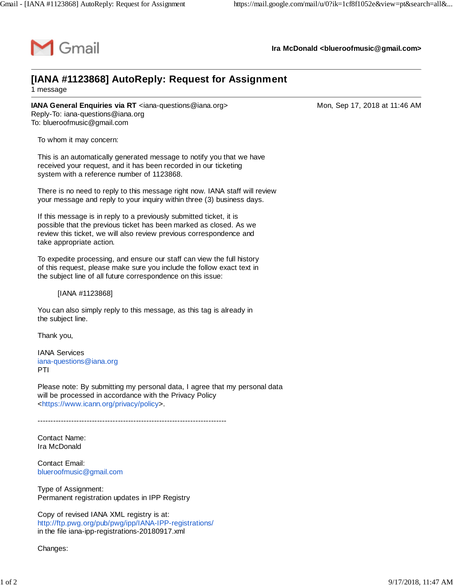

**Ira McDonald [<blueroofmusic@gmail.com>](mailto:blueroofmusic@gmail.com)**

## **[IANA #1123868] AutoReply: Request for Assignment** 1 message

**IANA General Enquiries via RT** <[iana-questions@iana.org](mailto:iana-questions@iana.org)> Mon, Sep 17, 2018 at 11:46 AM Reply-To: [iana-questions@iana.org](mailto:iana-questions@iana.org) To: [blueroofmusic@gmail.com](mailto:blueroofmusic@gmail.com)

To whom it may concern:

This is an automatically generated message to notify you that we have received your request, and it has been recorded in our ticketing system with a reference number of 1123868.

There is no need to reply to this message right now. IANA staff will review your message and reply to your inquiry within three (3) business days.

If this message is in reply to a previously submitted ticket, it is possible that the previous ticket has been marked as closed. As we review this ticket, we will also review previous correspondence and take appropriate action.

To expedite processing, and ensure our staff can view the full history of this request, please make sure you include the follow exact text in the subject line of all future correspondence on this issue:

[IANA #1123868]

You can also simply reply to this message, as this tag is already in the subject line.

Thank you,

IANA Services [iana-questions@iana.org](mailto:iana-questions@iana.org) PTI

Please note: By submitting my personal data, I agree that my personal data will be processed in accordance with the Privacy Policy <[https://www.icann.org/privacy/policy>](https://www.icann.org/privacy/policy).

-------------------------------------------------------------------------

Contact Name: Ira McDonald

Contact Email: [blueroofmusic@gmail.com](mailto:blueroofmusic@gmail.com)

Type of Assignment: Permanent registration updates in IPP Registry

Copy of revised IANA XML registry is at: <http://ftp.pwg.org/pub/pwg/ipp/IANA-IPP-registrations/> in the file iana-ipp-registrations-20180917.xml

Changes: